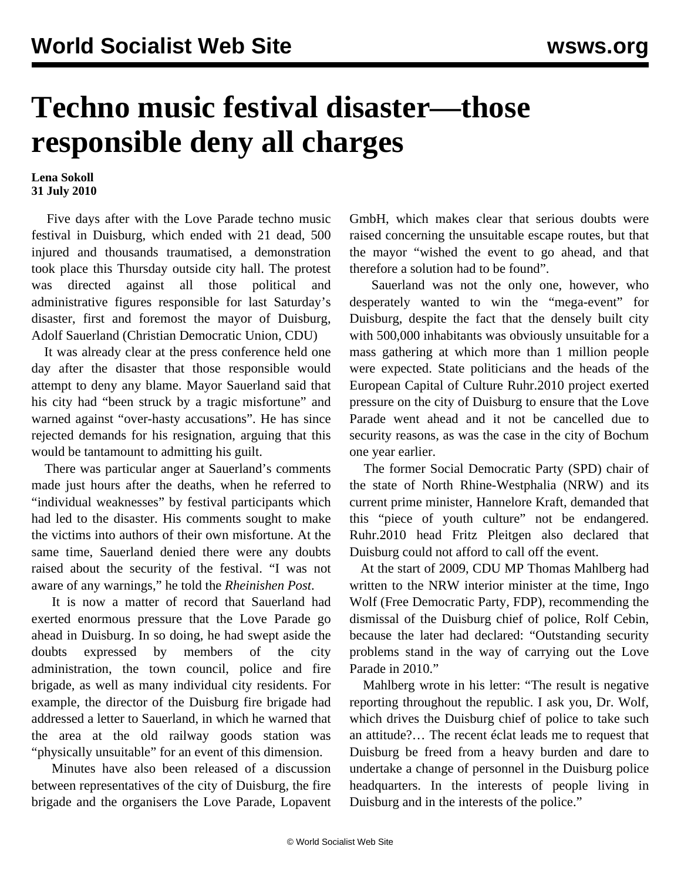## **Techno music festival disaster—those responsible deny all charges**

## **Lena Sokoll 31 July 2010**

 Five days after with the Love Parade techno music festival in Duisburg, which ended with 21 dead, 500 injured and thousands traumatised, a demonstration took place this Thursday outside city hall. The protest was directed against all those political and administrative figures responsible for last Saturday's disaster, first and foremost the mayor of Duisburg, Adolf Sauerland (Christian Democratic Union, CDU)

 It was already clear at the press conference held one day after the disaster that those responsible would attempt to deny any blame. Mayor Sauerland said that his city had "been struck by a tragic misfortune" and warned against "over-hasty accusations". He has since rejected demands for his resignation, arguing that this would be tantamount to admitting his guilt.

 There was particular anger at Sauerland's comments made just hours after the deaths, when he referred to "individual weaknesses" by festival participants which had led to the disaster. His comments sought to make the victims into authors of their own misfortune. At the same time, Sauerland denied there were any doubts raised about the security of the festival. "I was not aware of any warnings," he told the *Rheinishen Post*.

 It is now a matter of record that Sauerland had exerted enormous pressure that the Love Parade go ahead in Duisburg. In so doing, he had swept aside the doubts expressed by members of the city administration, the town council, police and fire brigade, as well as many individual city residents. For example, the director of the Duisburg fire brigade had addressed a letter to Sauerland, in which he warned that the area at the old railway goods station was "physically unsuitable" for an event of this dimension.

 Minutes have also been released of a discussion between representatives of the city of Duisburg, the fire brigade and the organisers the Love Parade, Lopavent GmbH, which makes clear that serious doubts were raised concerning the unsuitable escape routes, but that the mayor "wished the event to go ahead, and that therefore a solution had to be found".

 Sauerland was not the only one, however, who desperately wanted to win the "mega-event" for Duisburg, despite the fact that the densely built city with 500,000 inhabitants was obviously unsuitable for a mass gathering at which more than 1 million people were expected. State politicians and the heads of the European Capital of Culture Ruhr.2010 project exerted pressure on the city of Duisburg to ensure that the Love Parade went ahead and it not be cancelled due to security reasons, as was the case in the city of Bochum one year earlier.

 The former Social Democratic Party (SPD) chair of the state of North Rhine-Westphalia (NRW) and its current prime minister, Hannelore Kraft, demanded that this "piece of youth culture" not be endangered. Ruhr.2010 head Fritz Pleitgen also declared that Duisburg could not afford to call off the event.

 At the start of 2009, CDU MP Thomas Mahlberg had written to the NRW interior minister at the time, Ingo Wolf (Free Democratic Party, FDP), recommending the dismissal of the Duisburg chief of police, Rolf Cebin, because the later had declared: "Outstanding security problems stand in the way of carrying out the Love Parade in 2010."

 Mahlberg wrote in his letter: "The result is negative reporting throughout the republic. I ask you, Dr. Wolf, which drives the Duisburg chief of police to take such an attitude?… The recent éclat leads me to request that Duisburg be freed from a heavy burden and dare to undertake a change of personnel in the Duisburg police headquarters. In the interests of people living in Duisburg and in the interests of the police."